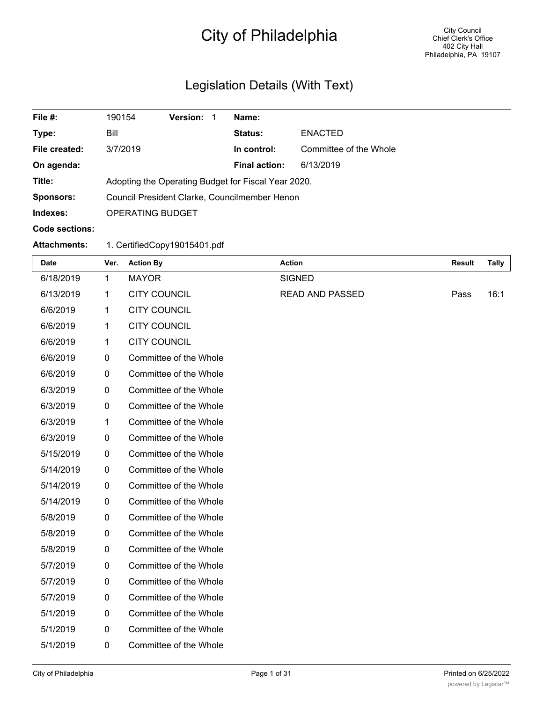# City of Philadelphia

# Legislation Details (With Text)

| File #:             | 190154                                              | <b>Version:</b> | Name:                |                        |
|---------------------|-----------------------------------------------------|-----------------|----------------------|------------------------|
| Type:               | Bill                                                |                 | <b>Status:</b>       | <b>ENACTED</b>         |
| File created:       | 3/7/2019                                            |                 | In control:          | Committee of the Whole |
| On agenda:          |                                                     |                 | <b>Final action:</b> | 6/13/2019              |
| Title:              | Adopting the Operating Budget for Fiscal Year 2020. |                 |                      |                        |
| <b>Sponsors:</b>    | Council President Clarke, Councilmember Henon       |                 |                      |                        |
| Indexes:            | OPERATING BUDGET                                    |                 |                      |                        |
| Code sections:      |                                                     |                 |                      |                        |
| <b>Attachments:</b> | 1. CertifiedCopy19015401.pdf                        |                 |                      |                        |

| Date      | Ver.             | <b>Action By</b>       | <b>Action</b>          | <b>Result</b> | Tally |
|-----------|------------------|------------------------|------------------------|---------------|-------|
| 6/18/2019 | 1                | <b>MAYOR</b>           | <b>SIGNED</b>          |               |       |
| 6/13/2019 | 1                | <b>CITY COUNCIL</b>    | <b>READ AND PASSED</b> | Pass          | 16:1  |
| 6/6/2019  | $\mathbf{1}$     | <b>CITY COUNCIL</b>    |                        |               |       |
| 6/6/2019  | 1                | <b>CITY COUNCIL</b>    |                        |               |       |
| 6/6/2019  | $\mathbf{1}$     | <b>CITY COUNCIL</b>    |                        |               |       |
| 6/6/2019  | 0                | Committee of the Whole |                        |               |       |
| 6/6/2019  | $\boldsymbol{0}$ | Committee of the Whole |                        |               |       |
| 6/3/2019  | $\mathbf 0$      | Committee of the Whole |                        |               |       |
| 6/3/2019  | $\mathbf 0$      | Committee of the Whole |                        |               |       |
| 6/3/2019  | 1                | Committee of the Whole |                        |               |       |
| 6/3/2019  | $\mathbf 0$      | Committee of the Whole |                        |               |       |
| 5/15/2019 | $\boldsymbol{0}$ | Committee of the Whole |                        |               |       |
| 5/14/2019 | $\mathbf 0$      | Committee of the Whole |                        |               |       |
| 5/14/2019 | 0                | Committee of the Whole |                        |               |       |
| 5/14/2019 | $\boldsymbol{0}$ | Committee of the Whole |                        |               |       |
| 5/8/2019  | $\mathbf 0$      | Committee of the Whole |                        |               |       |
| 5/8/2019  | $\boldsymbol{0}$ | Committee of the Whole |                        |               |       |
| 5/8/2019  | $\mathbf 0$      | Committee of the Whole |                        |               |       |
| 5/7/2019  | $\mathbf 0$      | Committee of the Whole |                        |               |       |
| 5/7/2019  | $\mathbf 0$      | Committee of the Whole |                        |               |       |
| 5/7/2019  | $\mathbf 0$      | Committee of the Whole |                        |               |       |
| 5/1/2019  | $\mathbf 0$      | Committee of the Whole |                        |               |       |
| 5/1/2019  | $\mathbf 0$      | Committee of the Whole |                        |               |       |
| 5/1/2019  | 0                | Committee of the Whole |                        |               |       |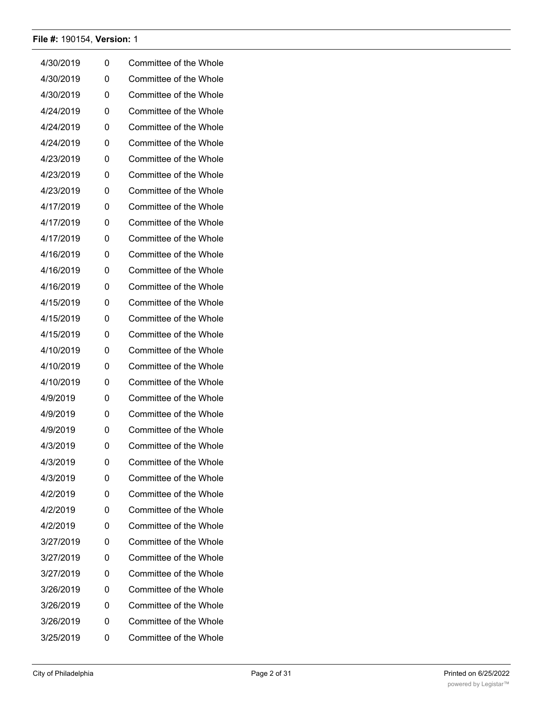| 4/30/2019 | 0 | Committee of the Whole |
|-----------|---|------------------------|
| 4/30/2019 | 0 | Committee of the Whole |
| 4/30/2019 | 0 | Committee of the Whole |
| 4/24/2019 | 0 | Committee of the Whole |
| 4/24/2019 | 0 | Committee of the Whole |
| 4/24/2019 | 0 | Committee of the Whole |
| 4/23/2019 | 0 | Committee of the Whole |
| 4/23/2019 | 0 | Committee of the Whole |
| 4/23/2019 | 0 | Committee of the Whole |
| 4/17/2019 | 0 | Committee of the Whole |
| 4/17/2019 | 0 | Committee of the Whole |
| 4/17/2019 | 0 | Committee of the Whole |
| 4/16/2019 | 0 | Committee of the Whole |
| 4/16/2019 | 0 | Committee of the Whole |
| 4/16/2019 | 0 | Committee of the Whole |
| 4/15/2019 | 0 | Committee of the Whole |
| 4/15/2019 | 0 | Committee of the Whole |
| 4/15/2019 | 0 | Committee of the Whole |
| 4/10/2019 | 0 | Committee of the Whole |
| 4/10/2019 | 0 | Committee of the Whole |
| 4/10/2019 | 0 | Committee of the Whole |
| 4/9/2019  | 0 | Committee of the Whole |
| 4/9/2019  | 0 | Committee of the Whole |
| 4/9/2019  | 0 | Committee of the Whole |
| 4/3/2019  | 0 | Committee of the Whole |
| 4/3/2019  | 0 | Committee of the Whole |
| 4/3/2019  | 0 | Committee of the Whole |
| 4/2/2019  | 0 | Committee of the Whole |
| 4/2/2019  | 0 | Committee of the Whole |
| 4/2/2019  | 0 | Committee of the Whole |
| 3/27/2019 | 0 | Committee of the Whole |
| 3/27/2019 | 0 | Committee of the Whole |
| 3/27/2019 | 0 | Committee of the Whole |
| 3/26/2019 | 0 | Committee of the Whole |
| 3/26/2019 | 0 | Committee of the Whole |
| 3/26/2019 | 0 | Committee of the Whole |
| 3/25/2019 | 0 | Committee of the Whole |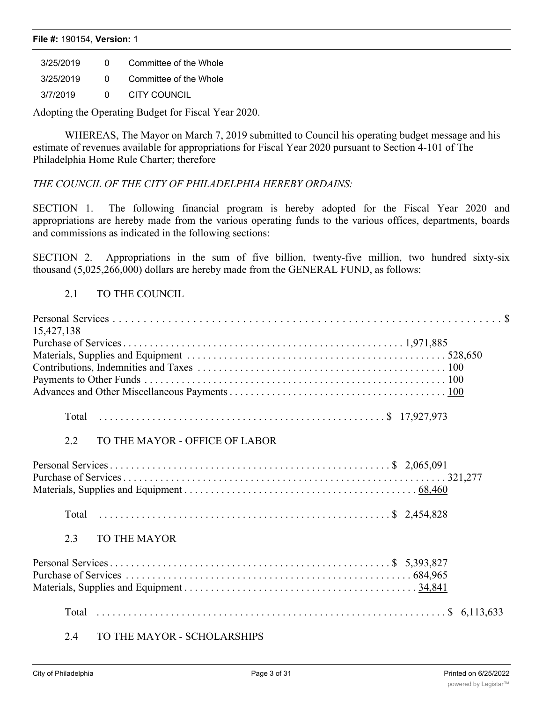| <b>File #: 190154, Version: 1</b> |   |                        |  |  |
|-----------------------------------|---|------------------------|--|--|
| 3/25/2019                         |   | Committee of the Whole |  |  |
| 3/25/2019                         | 0 | Committee of the Whole |  |  |

3/7/2019 0 CITY COUNCIL

Adopting the Operating Budget for Fiscal Year 2020.

WHEREAS, The Mayor on March 7, 2019 submitted to Council his operating budget message and his estimate of revenues available for appropriations for Fiscal Year 2020 pursuant to Section 4-101 of The Philadelphia Home Rule Charter; therefore

# *THE COUNCIL OF THE CITY OF PHILADELPHIA HEREBY ORDAINS:*

SECTION 1. The following financial program is hereby adopted for the Fiscal Year 2020 and appropriations are hereby made from the various operating funds to the various offices, departments, boards and commissions as indicated in the following sections:

SECTION 2. Appropriations in the sum of five billion, twenty-five million, two hundred sixty-six thousand (5,025,266,000) dollars are hereby made from the GENERAL FUND, as follows:

# 2.1 TO THE COUNCIL

| 15,427,138                            |  |
|---------------------------------------|--|
|                                       |  |
|                                       |  |
|                                       |  |
|                                       |  |
|                                       |  |
|                                       |  |
| 2.2<br>TO THE MAYOR - OFFICE OF LABOR |  |
|                                       |  |
|                                       |  |
| 2.3<br><b>TO THE MAYOR</b>            |  |
|                                       |  |
|                                       |  |
|                                       |  |
|                                       |  |
|                                       |  |

### 2.4 TO THE MAYOR - SCHOLARSHIPS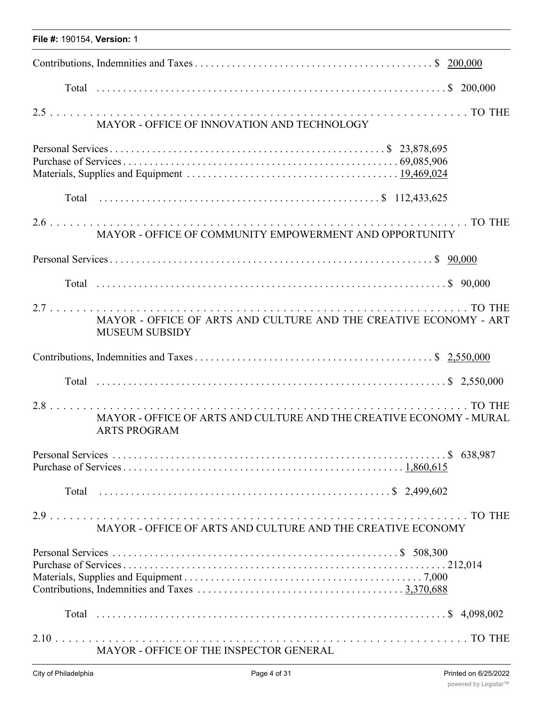|  |  | File #: 190154, Version: 1 |  |
|--|--|----------------------------|--|
|--|--|----------------------------|--|

| MAYOR - OFFICE OF INNOVATION AND TECHNOLOGY                                                |  |
|--------------------------------------------------------------------------------------------|--|
|                                                                                            |  |
|                                                                                            |  |
| MAYOR - OFFICE OF COMMUNITY EMPOWERMENT AND OPPORTUNITY                                    |  |
|                                                                                            |  |
|                                                                                            |  |
| MAYOR - OFFICE OF ARTS AND CULTURE AND THE CREATIVE ECONOMY - ART<br><b>MUSEUM SUBSIDY</b> |  |
|                                                                                            |  |
|                                                                                            |  |
| MAYOR - OFFICE OF ARTS AND CULTURE AND THE CREATIVE ECONOMY - MURAL<br><b>ARTS PROGRAM</b> |  |
|                                                                                            |  |
|                                                                                            |  |
| MAYOR - OFFICE OF ARTS AND CULTURE AND THE CREATIVE ECONOMY                                |  |
|                                                                                            |  |
|                                                                                            |  |
| MAYOR - OFFICE OF THE INSPECTOR GENERAL                                                    |  |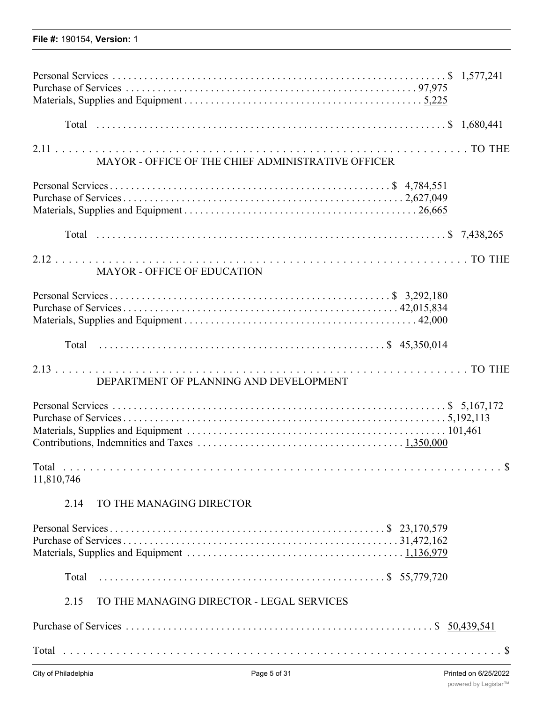| MAYOR - OFFICE OF THE CHIEF ADMINISTRATIVE OFFICER |  |  |  |
|----------------------------------------------------|--|--|--|
|                                                    |  |  |  |
|                                                    |  |  |  |
|                                                    |  |  |  |
|                                                    |  |  |  |
| <b>MAYOR - OFFICE OF EDUCATION</b>                 |  |  |  |
|                                                    |  |  |  |
|                                                    |  |  |  |
| DEPARTMENT OF PLANNING AND DEVELOPMENT             |  |  |  |
|                                                    |  |  |  |
| 11,810,746                                         |  |  |  |
| TO THE MANAGING DIRECTOR<br>2.14                   |  |  |  |
|                                                    |  |  |  |
| Total                                              |  |  |  |
| TO THE MANAGING DIRECTOR - LEGAL SERVICES<br>2.15  |  |  |  |
|                                                    |  |  |  |

Total . . . . . . . . . . . . . . . . . . . . . . . . . . . . . . . . . . . . . . . . . . . . . . . . . . . . . . . . . . . . . . . . . . \$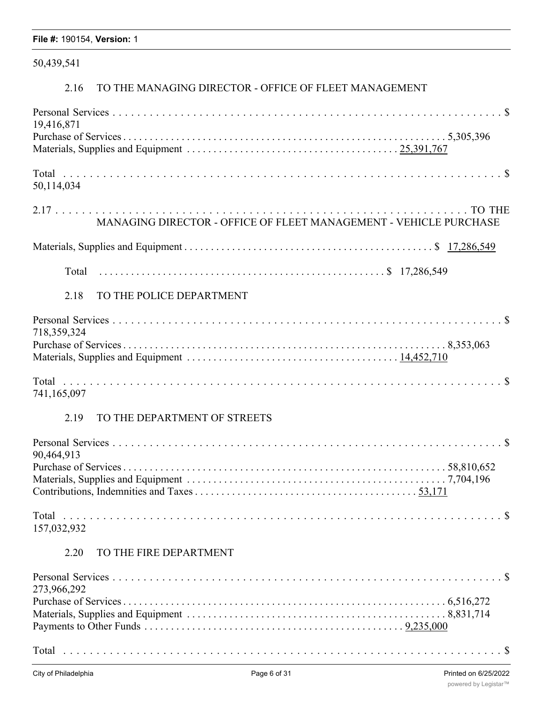# 50,439,541

# 2.16 TO THE MANAGING DIRECTOR - OFFICE OF FLEET MANAGEMENT

| 19,416,871                                                        |
|-------------------------------------------------------------------|
|                                                                   |
| 50,114,034                                                        |
| MANAGING DIRECTOR - OFFICE OF FLEET MANAGEMENT - VEHICLE PURCHASE |
|                                                                   |
|                                                                   |
| 2.18<br>TO THE POLICE DEPARTMENT                                  |
| 718,359,324                                                       |
|                                                                   |
| 741,165,097                                                       |
| 2.19<br>TO THE DEPARTMENT OF STREETS                              |
| 90,464,913                                                        |
|                                                                   |
| 157,032,932                                                       |
| TO THE FIRE DEPARTMENT<br>2.20                                    |
| 273,966,292                                                       |
|                                                                   |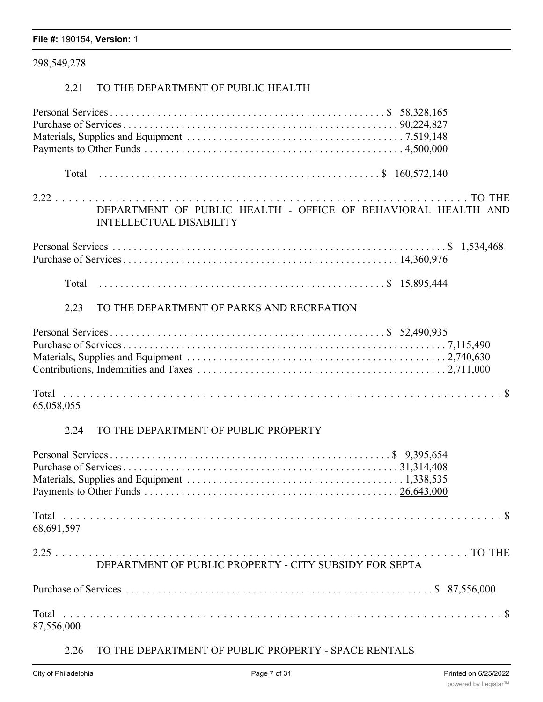|  |  | File #: 190154, Version: 1 |  |
|--|--|----------------------------|--|
|--|--|----------------------------|--|

# 298,549,278

# 2.21 TO THE DEPARTMENT OF PUBLIC HEALTH

| DEPARTMENT OF PUBLIC HEALTH - OFFICE OF BEHAVIORAL HEALTH AND<br><b>INTELLECTUAL DISABILITY</b> |
|-------------------------------------------------------------------------------------------------|
|                                                                                                 |
|                                                                                                 |
| TO THE DEPARTMENT OF PARKS AND RECREATION<br>2.23                                               |
|                                                                                                 |
| 65,058,055                                                                                      |

# 2.24 TO THE DEPARTMENT OF PUBLIC PROPERTY

| 68,691,597                                             |  |
|--------------------------------------------------------|--|
| DEPARTMENT OF PUBLIC PROPERTY - CITY SUBSIDY FOR SEPTA |  |
|                                                        |  |
| 87,556,000                                             |  |

# 2.26 TO THE DEPARTMENT OF PUBLIC PROPERTY - SPACE RENTALS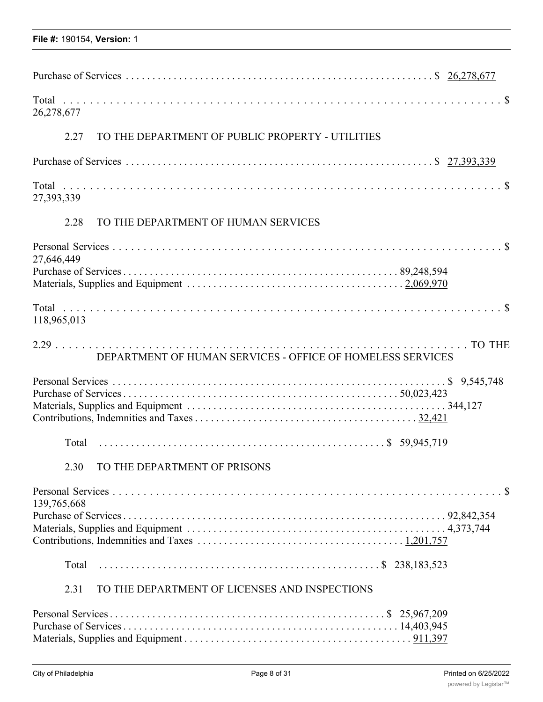| 26,278,677                                                 |
|------------------------------------------------------------|
| 2.27<br>TO THE DEPARTMENT OF PUBLIC PROPERTY - UTILITIES   |
|                                                            |
| 27,393,339                                                 |
| 2.28<br>TO THE DEPARTMENT OF HUMAN SERVICES                |
| 27,646,449                                                 |
|                                                            |
| 118,965,013                                                |
| DEPARTMENT OF HUMAN SERVICES - OFFICE OF HOMELESS SERVICES |
|                                                            |
|                                                            |
| TO THE DEPARTMENT OF PRISONS<br>2.30                       |
| 139,765,668                                                |
|                                                            |
| Total                                                      |
| TO THE DEPARTMENT OF LICENSES AND INSPECTIONS<br>2.31      |
|                                                            |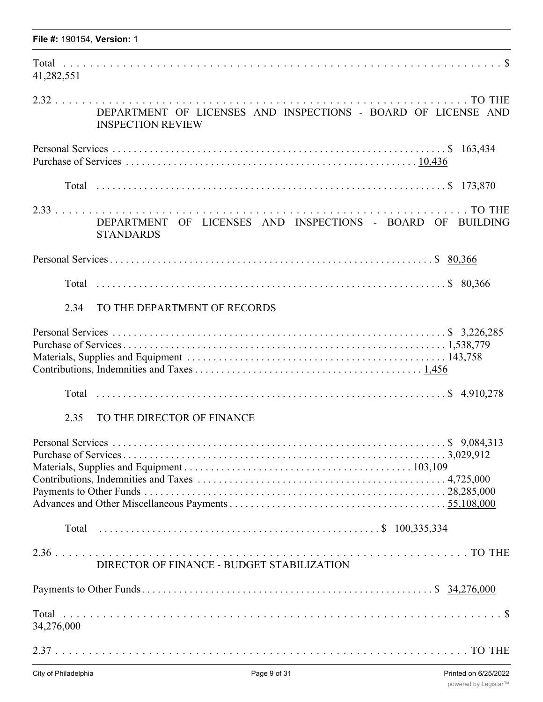| 41,282,551 |                                                                                           |
|------------|-------------------------------------------------------------------------------------------|
|            | DEPARTMENT OF LICENSES AND INSPECTIONS - BOARD OF LICENSE AND<br><b>INSPECTION REVIEW</b> |
|            |                                                                                           |
|            |                                                                                           |
|            | DEPARTMENT OF LICENSES AND INSPECTIONS - BOARD OF BUILDING<br><b>STANDARDS</b>            |
|            |                                                                                           |
|            |                                                                                           |
| 2.34       | TO THE DEPARTMENT OF RECORDS                                                              |
|            |                                                                                           |
|            |                                                                                           |
| 2.35       | TO THE DIRECTOR OF FINANCE                                                                |
|            |                                                                                           |
|            |                                                                                           |
|            | DIRECTOR OF FINANCE - BUDGET STABILIZATION                                                |
|            |                                                                                           |
| 34,276,000 |                                                                                           |
|            |                                                                                           |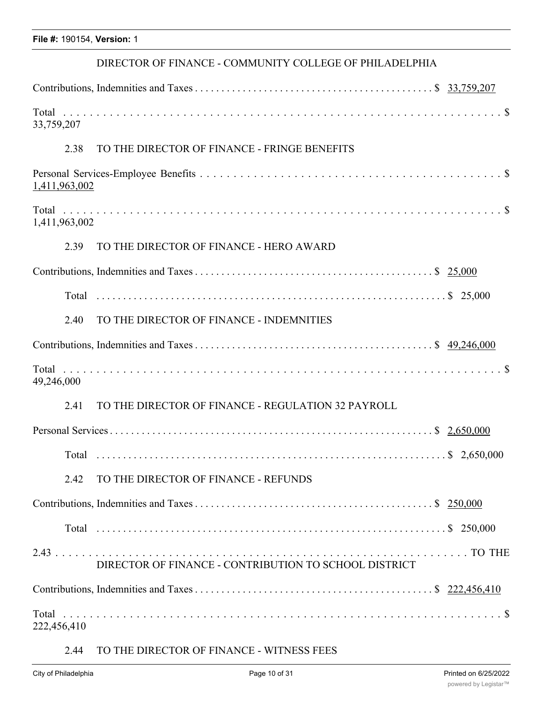### DIRECTOR OF FINANCE - COMMUNITY COLLEGE OF PHILADELPHIA

| 33,759,207                                                 |  |
|------------------------------------------------------------|--|
| TO THE DIRECTOR OF FINANCE - FRINGE BENEFITS<br>2.38       |  |
| 1,411,963,002                                              |  |
| 1,411,963,002                                              |  |
| 2.39<br>TO THE DIRECTOR OF FINANCE - HERO AWARD            |  |
|                                                            |  |
|                                                            |  |
| TO THE DIRECTOR OF FINANCE - INDEMNITIES<br>2.40           |  |
|                                                            |  |
| 49,246,000                                                 |  |
| TO THE DIRECTOR OF FINANCE - REGULATION 32 PAYROLL<br>2.41 |  |
|                                                            |  |
|                                                            |  |
| TO THE DIRECTOR OF FINANCE - REFUNDS<br>2.42               |  |
|                                                            |  |
|                                                            |  |
| DIRECTOR OF FINANCE - CONTRIBUTION TO SCHOOL DISTRICT      |  |
|                                                            |  |
| 222,456,410                                                |  |

# 2.44 TO THE DIRECTOR OF FINANCE - WITNESS FEES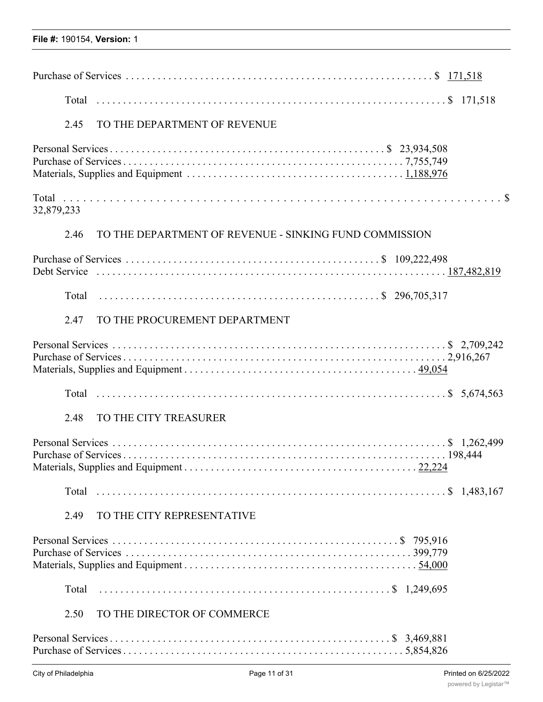| TO THE DEPARTMENT OF REVENUE<br>2.45                           |  |
|----------------------------------------------------------------|--|
|                                                                |  |
| 32,879,233                                                     |  |
| TO THE DEPARTMENT OF REVENUE - SINKING FUND COMMISSION<br>2.46 |  |
|                                                                |  |
|                                                                |  |
| TO THE PROCUREMENT DEPARTMENT<br>2.47                          |  |
|                                                                |  |
|                                                                |  |
| TO THE CITY TREASURER<br>2.48                                  |  |
|                                                                |  |
|                                                                |  |
| 2.49<br>TO THE CITY REPRESENTATIVE                             |  |
|                                                                |  |
| Total                                                          |  |
| TO THE DIRECTOR OF COMMERCE<br>2.50                            |  |
|                                                                |  |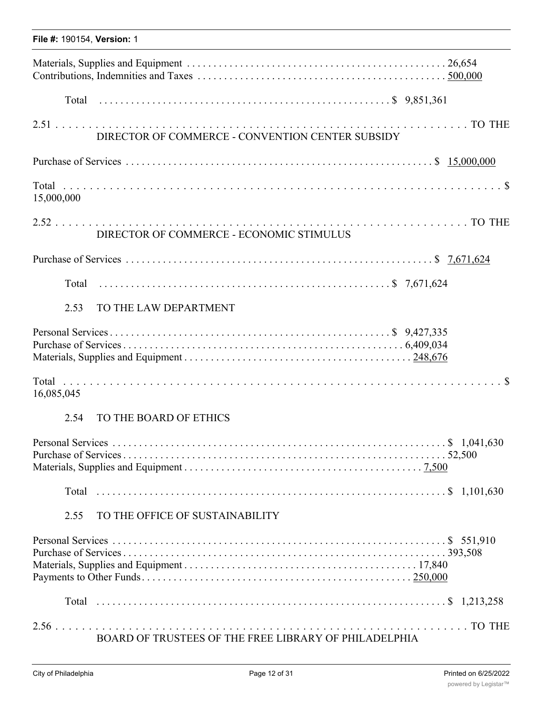| File #: 190154, Version: 1 |                                                       |
|----------------------------|-------------------------------------------------------|
|                            |                                                       |
|                            |                                                       |
|                            | DIRECTOR OF COMMERCE - CONVENTION CENTER SUBSIDY      |
|                            |                                                       |
| 15,000,000                 |                                                       |
|                            | DIRECTOR OF COMMERCE - ECONOMIC STIMULUS              |
|                            |                                                       |
|                            |                                                       |
| 2.53                       | TO THE LAW DEPARTMENT                                 |
|                            |                                                       |
| 16,085,045                 |                                                       |
| 2.54                       | TO THE BOARD OF ETHICS                                |
|                            |                                                       |
|                            |                                                       |
| 2.55                       | TO THE OFFICE OF SUSTAINABILITY                       |
|                            |                                                       |
|                            |                                                       |
|                            | BOARD OF TRUSTEES OF THE FREE LIBRARY OF PHILADELPHIA |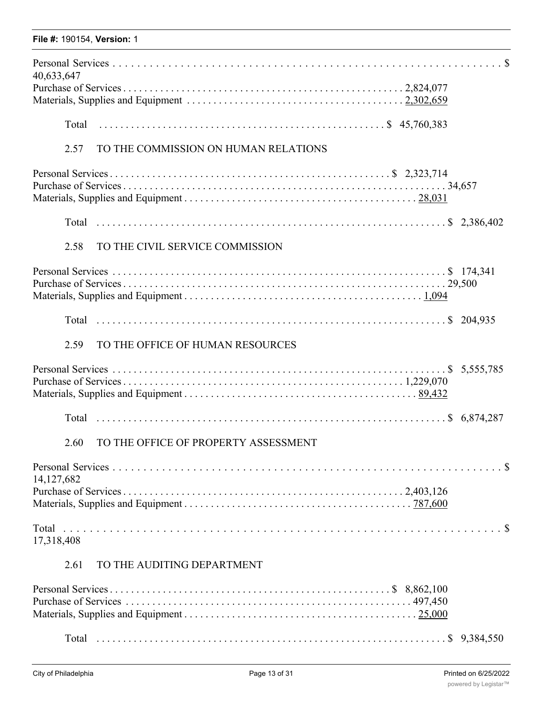| 40,633,647   |                                      |
|--------------|--------------------------------------|
|              |                                      |
| Total        |                                      |
| 2.57         | TO THE COMMISSION ON HUMAN RELATIONS |
|              |                                      |
|              |                                      |
| 2.58         | TO THE CIVIL SERVICE COMMISSION      |
|              |                                      |
|              |                                      |
| 2.59         | TO THE OFFICE OF HUMAN RESOURCES     |
|              |                                      |
|              |                                      |
| 2.60         | TO THE OFFICE OF PROPERTY ASSESSMENT |
| 14, 127, 682 |                                      |
| 17,318,408   |                                      |
| 2.61         | TO THE AUDITING DEPARTMENT           |
|              |                                      |

Materials, Supplies and Equipment . . . . . . . . . . . . . . . . . . . . . . . . . . . . . . . . . . . . . . . . . . . . 25,000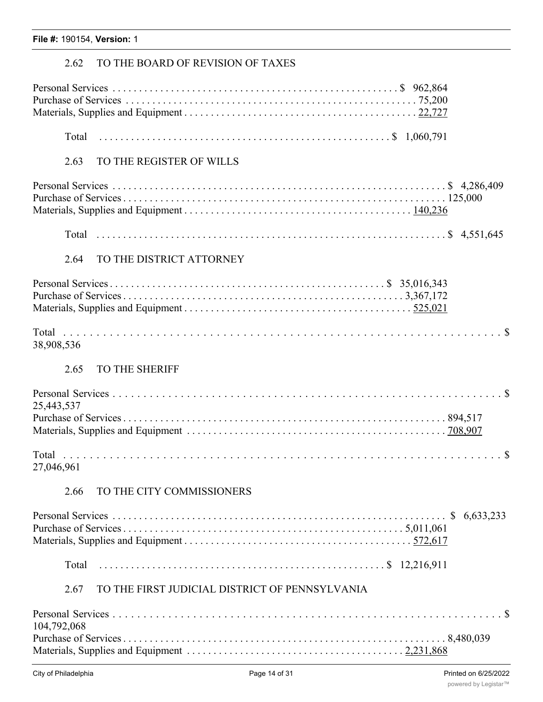# 2.62 TO THE BOARD OF REVISION OF TAXES

| 2.63        | TO THE REGISTER OF WILLS                       |
|-------------|------------------------------------------------|
|             |                                                |
|             |                                                |
| 2.64        | TO THE DISTRICT ATTORNEY                       |
|             |                                                |
| 38,908,536  |                                                |
| 2.65        | TO THE SHERIFF                                 |
| 25,443,537  |                                                |
|             |                                                |
| 27,046,961  |                                                |
| 2.66        | TO THE CITY COMMISSIONERS                      |
|             |                                                |
|             |                                                |
| 2.67        | TO THE FIRST JUDICIAL DISTRICT OF PENNSYLVANIA |
| 104,792,068 |                                                |
|             |                                                |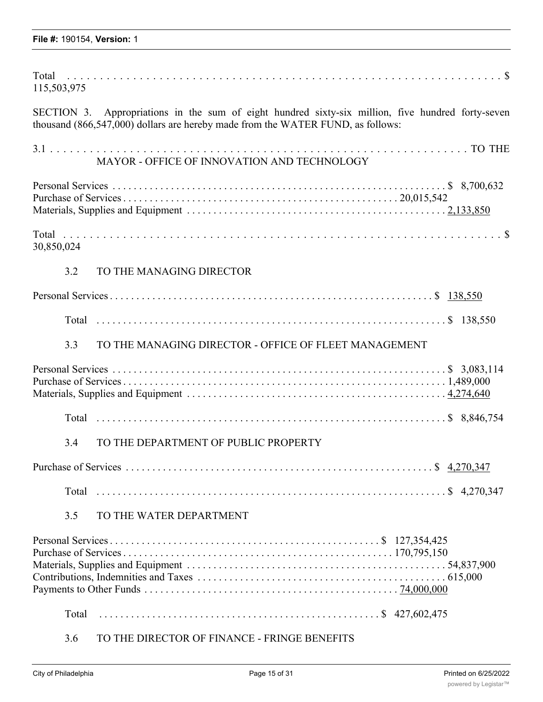| 115,503,975                                                                                                                                                                          |  |
|--------------------------------------------------------------------------------------------------------------------------------------------------------------------------------------|--|
| SECTION 3. Appropriations in the sum of eight hundred sixty-six million, five hundred forty-seven<br>thousand (866,547,000) dollars are hereby made from the WATER FUND, as follows: |  |
| MAYOR - OFFICE OF INNOVATION AND TECHNOLOGY                                                                                                                                          |  |
|                                                                                                                                                                                      |  |
| 30,850,024                                                                                                                                                                           |  |
| TO THE MANAGING DIRECTOR<br>3.2                                                                                                                                                      |  |
|                                                                                                                                                                                      |  |
|                                                                                                                                                                                      |  |
| TO THE MANAGING DIRECTOR - OFFICE OF FLEET MANAGEMENT<br>3.3                                                                                                                         |  |
|                                                                                                                                                                                      |  |
|                                                                                                                                                                                      |  |
| TO THE DEPARTMENT OF PUBLIC PROPERTY<br>3.4                                                                                                                                          |  |
|                                                                                                                                                                                      |  |
|                                                                                                                                                                                      |  |
| 3.5<br>TO THE WATER DEPARTMENT                                                                                                                                                       |  |
|                                                                                                                                                                                      |  |
| Total                                                                                                                                                                                |  |
| TO THE DIRECTOR OF FINANCE - FRINGE BENEFITS<br>3.6                                                                                                                                  |  |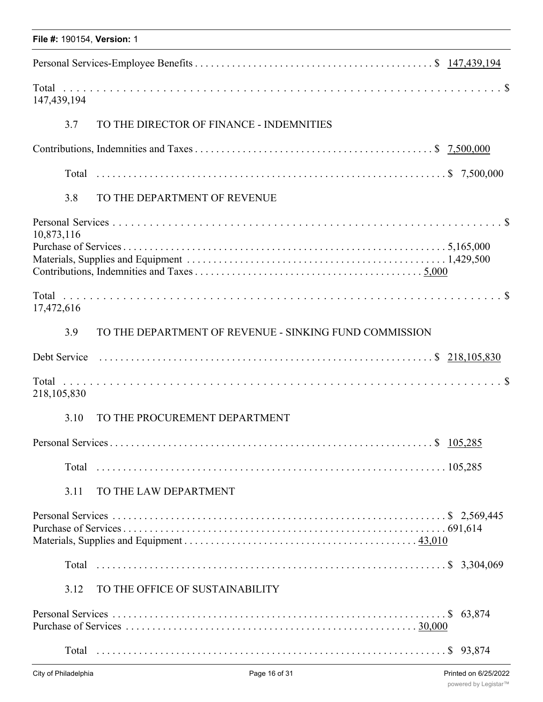| File #: 190154, Version: 1 |                                                        |  |
|----------------------------|--------------------------------------------------------|--|
|                            |                                                        |  |
| 147,439,194                |                                                        |  |
| 3.7                        | TO THE DIRECTOR OF FINANCE - INDEMNITIES               |  |
|                            |                                                        |  |
|                            |                                                        |  |
| 3.8                        | TO THE DEPARTMENT OF REVENUE                           |  |
| 10,873,116                 |                                                        |  |
| 17,472,616                 |                                                        |  |
| 3.9                        | TO THE DEPARTMENT OF REVENUE - SINKING FUND COMMISSION |  |
|                            |                                                        |  |
| 218,105,830                |                                                        |  |
| 3.10                       | TO THE PROCUREMENT DEPARTMENT                          |  |
|                            |                                                        |  |
|                            |                                                        |  |
| 3.11                       | TO THE LAW DEPARTMENT                                  |  |
|                            |                                                        |  |
|                            |                                                        |  |
| 3.12                       | TO THE OFFICE OF SUSTAINABILITY                        |  |
|                            |                                                        |  |
|                            |                                                        |  |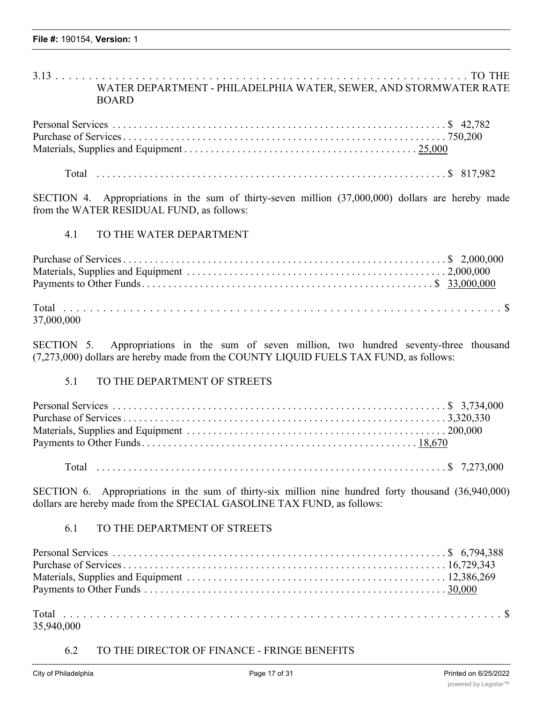3.13 . . . . . . . . . . . . . . . . . . . . . . . . . . . . . . . . . . . . . . . . . . . . . . . . . . . . . . . . . . . . . . TO THE WATER DEPARTMENT - PHILADELPHIA WATER, SEWER, AND STORMWATER RATE BOARD

Total . . . . . . . . . . . . . . . . . . . . . . . . . . . . . . . . . . . . . . . . . . . . . . . . . . . . . . . . . . . . . . . . . . \$ 817,982

SECTION 4. Appropriations in the sum of thirty-seven million (37,000,000) dollars are hereby made from the WATER RESIDUAL FUND, as follows:

### 4.1 TO THE WATER DEPARTMENT

| 37,000,000 |  |  |
|------------|--|--|

SECTION 5. Appropriations in the sum of seven million, two hundred seventy-three thousand (7,273,000) dollars are hereby made from the COUNTY LIQUID FUELS TAX FUND, as follows:

### 5.1 TO THE DEPARTMENT OF STREETS

SECTION 6. Appropriations in the sum of thirty-six million nine hundred forty thousand (36,940,000) dollars are hereby made from the SPECIAL GASOLINE TAX FUND, as follows:

# 6.1 TO THE DEPARTMENT OF STREETS

| 35,940,000 |  |
|------------|--|

### 6.2 TO THE DIRECTOR OF FINANCE - FRINGE BENEFITS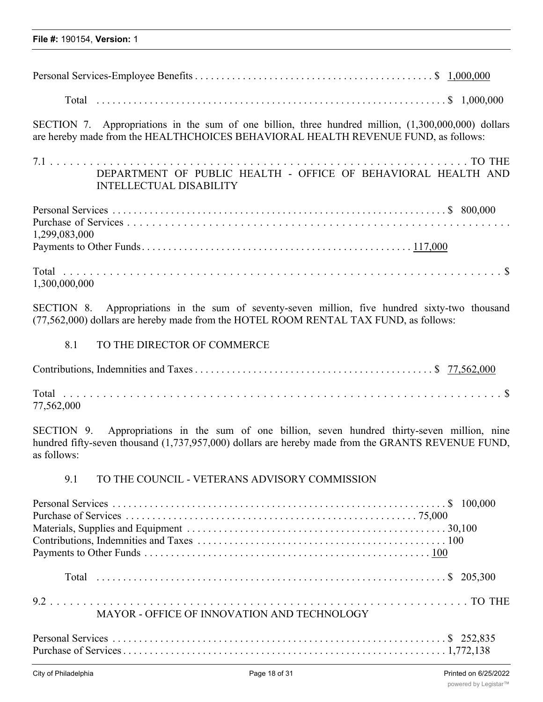| SECTION 7. Appropriations in the sum of one billion, three hundred million, (1,300,000,000) dollars<br>are hereby made from the HEALTHCHOICES BEHAVIORAL HEALTH REVENUE FUND, as follows: |  |
|-------------------------------------------------------------------------------------------------------------------------------------------------------------------------------------------|--|
| DEPARTMENT OF PUBLIC HEALTH - OFFICE OF BEHAVIORAL HEALTH AND<br><b>INTELLECTUAL DISABILITY</b>                                                                                           |  |
| 1,299,083,000                                                                                                                                                                             |  |
| 1,300,000,000                                                                                                                                                                             |  |

SECTION 8. Appropriations in the sum of seventy-seven million, five hundred sixty-two thousand (77,562,000) dollars are hereby made from the HOTEL ROOM RENTAL TAX FUND, as follows:

# 8.1 TO THE DIRECTOR OF COMMERCE

| 77,562,000 |  |  |  |
|------------|--|--|--|

SECTION 9. Appropriations in the sum of one billion, seven hundred thirty-seven million, nine hundred fifty-seven thousand (1,737,957,000) dollars are hereby made from the GRANTS REVENUE FUND, as follows:

# 9.1 TO THE COUNCIL - VETERANS ADVISORY COMMISSION

| MAYOR - OFFICE OF INNOVATION AND TECHNOLOGY |  |
|---------------------------------------------|--|
|                                             |  |
|                                             |  |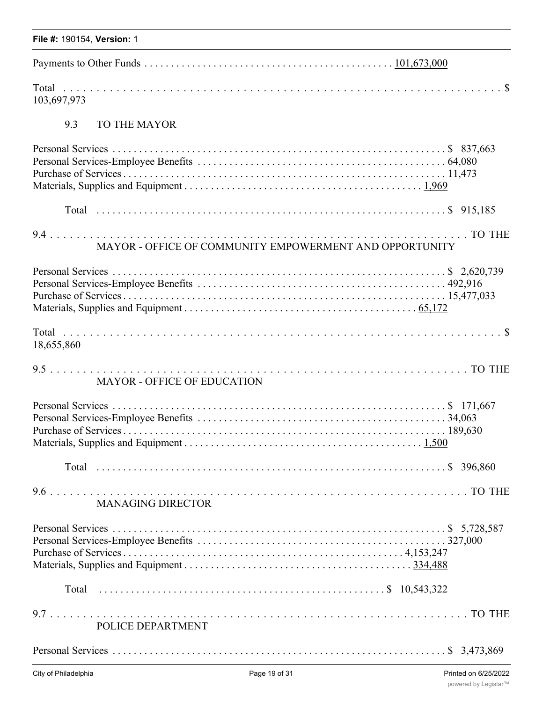| File #: 190154, Version: 1                              |
|---------------------------------------------------------|
|                                                         |
| 103,697,973                                             |
| 9.3<br><b>TO THE MAYOR</b>                              |
|                                                         |
|                                                         |
| MAYOR - OFFICE OF COMMUNITY EMPOWERMENT AND OPPORTUNITY |
|                                                         |
| 18,655,860                                              |
| <b>MAYOR - OFFICE OF EDUCATION</b>                      |
|                                                         |
|                                                         |
| <b>MANAGING DIRECTOR</b>                                |
|                                                         |
|                                                         |
| POLICE DEPARTMENT                                       |
|                                                         |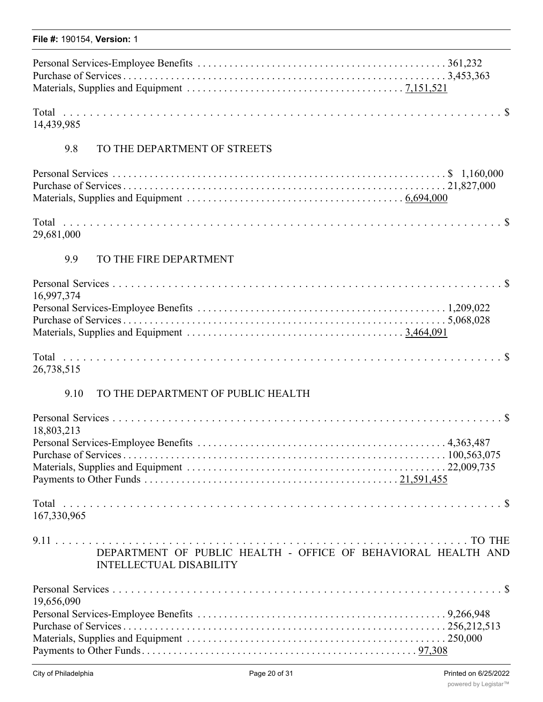|  |  | File #: 190154, Version: 1 |  |
|--|--|----------------------------|--|
|--|--|----------------------------|--|

14,439,985

# 9.8 TO THE DEPARTMENT OF STREETS

29,681,000

# 9.9 TO THE FIRE DEPARTMENT

| 16,997,374                                                                                                                                                                                                                                                                                       |               |
|--------------------------------------------------------------------------------------------------------------------------------------------------------------------------------------------------------------------------------------------------------------------------------------------------|---------------|
|                                                                                                                                                                                                                                                                                                  |               |
|                                                                                                                                                                                                                                                                                                  |               |
|                                                                                                                                                                                                                                                                                                  |               |
| $\mathbf{r}$ and $\mathbf{r}$ and $\mathbf{r}$ and $\mathbf{r}$ and $\mathbf{r}$ and $\mathbf{r}$ and $\mathbf{r}$ and $\mathbf{r}$ and $\mathbf{r}$ and $\mathbf{r}$ and $\mathbf{r}$ and $\mathbf{r}$ and $\mathbf{r}$ and $\mathbf{r}$ and $\mathbf{r}$ and $\mathbf{r}$ and $\mathbf{r}$ and | $\sim$ $\sim$ |

| Total      |  |  |  |  |  |  |  |  |  |  |  |  |  |  |  |  |  |  |  |  |  |  |  |  |  |  |
|------------|--|--|--|--|--|--|--|--|--|--|--|--|--|--|--|--|--|--|--|--|--|--|--|--|--|--|
| 26,738,515 |  |  |  |  |  |  |  |  |  |  |  |  |  |  |  |  |  |  |  |  |  |  |  |  |  |  |

# 9.10 TO THE DEPARTMENT OF PUBLIC HEALTH

| 18,803,213                                                                                      |  |
|-------------------------------------------------------------------------------------------------|--|
|                                                                                                 |  |
|                                                                                                 |  |
|                                                                                                 |  |
|                                                                                                 |  |
| 167,330,965                                                                                     |  |
| DEPARTMENT OF PUBLIC HEALTH - OFFICE OF BEHAVIORAL HEALTH AND<br><b>INTELLECTUAL DISABILITY</b> |  |
|                                                                                                 |  |
| 19,656,090                                                                                      |  |
|                                                                                                 |  |
|                                                                                                 |  |
|                                                                                                 |  |
|                                                                                                 |  |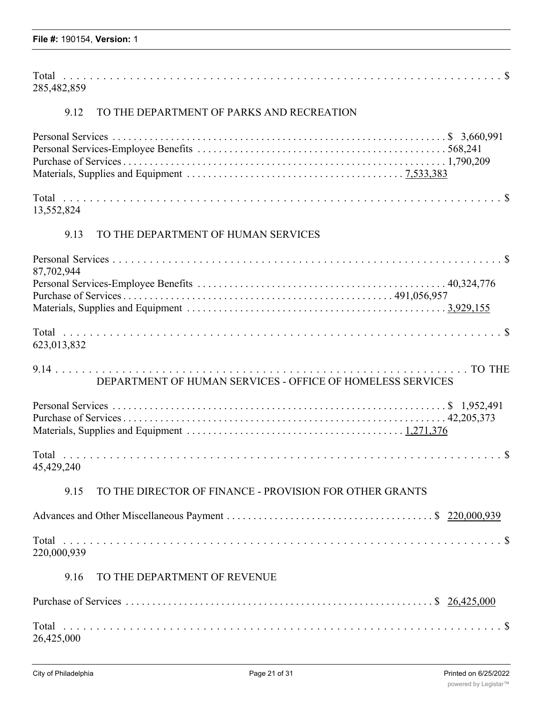| Total       |  |
|-------------|--|
| 285,482,859 |  |

# 9.12 TO THE DEPARTMENT OF PARKS AND RECREATION

| 13,552,824                                                      |
|-----------------------------------------------------------------|
| TO THE DEPARTMENT OF HUMAN SERVICES<br>9.13                     |
| 87,702,944                                                      |
| 623,013,832                                                     |
| DEPARTMENT OF HUMAN SERVICES - OFFICE OF HOMELESS SERVICES      |
|                                                                 |
| 45,429,240                                                      |
| TO THE DIRECTOR OF FINANCE - PROVISION FOR OTHER GRANTS<br>9.15 |
|                                                                 |
| 220,000,939                                                     |
| TO THE DEPARTMENT OF REVENUE<br>9.16                            |
|                                                                 |

| 26,425,000 |  |
|------------|--|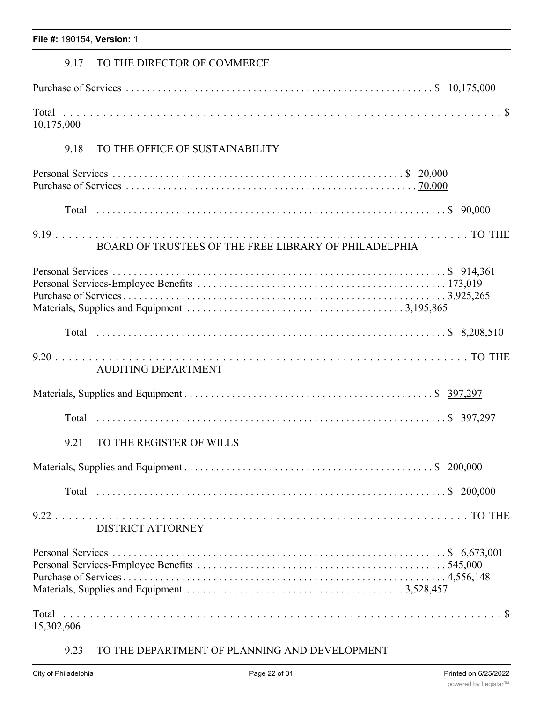# 9.17 TO THE DIRECTOR OF COMMERCE

| 10,175,000 |  |  |
|------------|--|--|

# 9.18 TO THE OFFICE OF SUSTAINABILITY

| BOARD OF TRUSTEES OF THE FREE LIBRARY OF PHILADELPHIA |  |
|-------------------------------------------------------|--|
|                                                       |  |
|                                                       |  |
| <b>AUDITING DEPARTMENT</b>                            |  |
|                                                       |  |
|                                                       |  |
| TO THE REGISTER OF WILLS<br>9.21                      |  |
|                                                       |  |
|                                                       |  |
| <b>DISTRICT ATTORNEY</b>                              |  |
|                                                       |  |
| 15,302,606                                            |  |

# 9.23 TO THE DEPARTMENT OF PLANNING AND DEVELOPMENT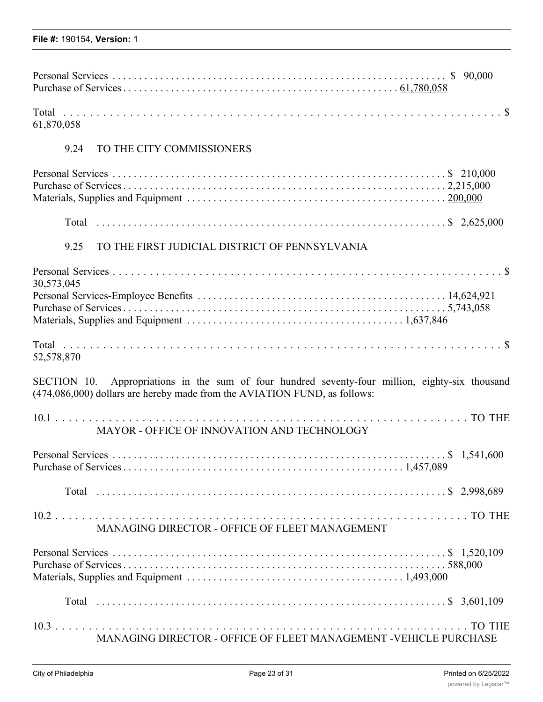| 61,870,058                                                                                                                                                                   |
|------------------------------------------------------------------------------------------------------------------------------------------------------------------------------|
| 9.24<br>TO THE CITY COMMISSIONERS                                                                                                                                            |
|                                                                                                                                                                              |
|                                                                                                                                                                              |
| TO THE FIRST JUDICIAL DISTRICT OF PENNSYLVANIA<br>9.25                                                                                                                       |
|                                                                                                                                                                              |
| 30,573,045                                                                                                                                                                   |
| 52,578,870                                                                                                                                                                   |
| SECTION 10. Appropriations in the sum of four hundred seventy-four million, eighty-six thousand<br>(474,086,000) dollars are hereby made from the AVIATION FUND, as follows: |
| MAYOR - OFFICE OF INNOVATION AND TECHNOLOGY                                                                                                                                  |
|                                                                                                                                                                              |
|                                                                                                                                                                              |
| MANAGING DIRECTOR - OFFICE OF FLEET MANAGEMENT                                                                                                                               |
|                                                                                                                                                                              |
|                                                                                                                                                                              |
| MANAGING DIRECTOR - OFFICE OF FLEET MANAGEMENT -VEHICLE PURCHASE                                                                                                             |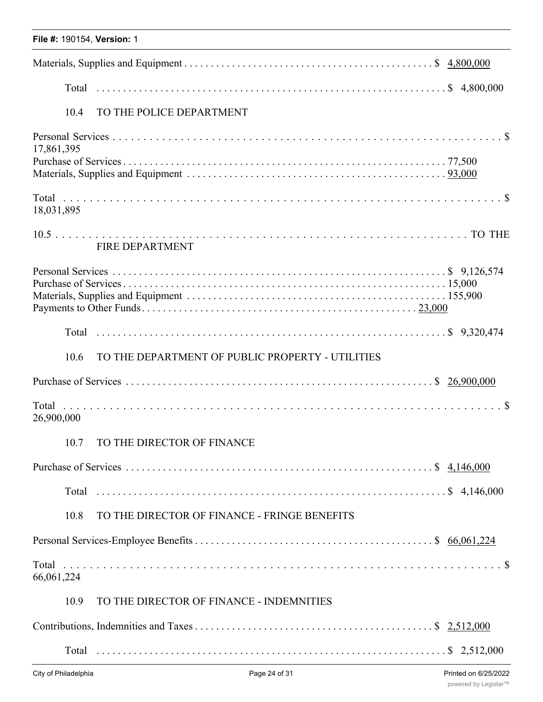| File #: 190154, Version: 1                               |
|----------------------------------------------------------|
|                                                          |
|                                                          |
| TO THE POLICE DEPARTMENT<br>10.4                         |
| 17,861,395                                               |
|                                                          |
| 18,031,895                                               |
| <b>FIRE DEPARTMENT</b>                                   |
|                                                          |
|                                                          |
| TO THE DEPARTMENT OF PUBLIC PROPERTY - UTILITIES<br>10.6 |
|                                                          |
| 26,900,000                                               |
| TO THE DIRECTOR OF FINANCE<br>10.7                       |
|                                                          |
|                                                          |
| TO THE DIRECTOR OF FINANCE - FRINGE BENEFITS<br>10.8     |
|                                                          |
| 66,061,224                                               |
| TO THE DIRECTOR OF FINANCE - INDEMNITIES<br>10.9         |
|                                                          |
|                                                          |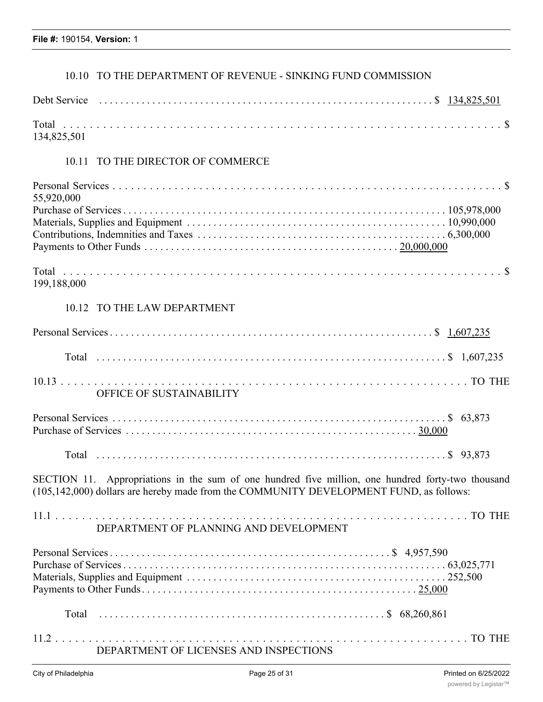# 10.10 TO THE DEPARTMENT OF REVENUE - SINKING FUND COMMISSION

| 134,825,501                                                                                                                                                                                 |
|---------------------------------------------------------------------------------------------------------------------------------------------------------------------------------------------|
| 10.11 TO THE DIRECTOR OF COMMERCE                                                                                                                                                           |
| 55,920,000                                                                                                                                                                                  |
|                                                                                                                                                                                             |
| 199,188,000                                                                                                                                                                                 |
| 10.12 TO THE LAW DEPARTMENT                                                                                                                                                                 |
|                                                                                                                                                                                             |
|                                                                                                                                                                                             |
| OFFICE OF SUSTAINABILITY                                                                                                                                                                    |
|                                                                                                                                                                                             |
|                                                                                                                                                                                             |
| SECTION 11. Appropriations in the sum of one hundred five million, one hundred forty-two thousand<br>(105,142,000) dollars are hereby made from the COMMUNITY DEVELOPMENT FUND, as follows: |
| DEPARTMENT OF PLANNING AND DEVELOPMENT                                                                                                                                                      |
|                                                                                                                                                                                             |
|                                                                                                                                                                                             |
| DEPARTMENT OF LICENSES AND INSPECTIONS                                                                                                                                                      |
|                                                                                                                                                                                             |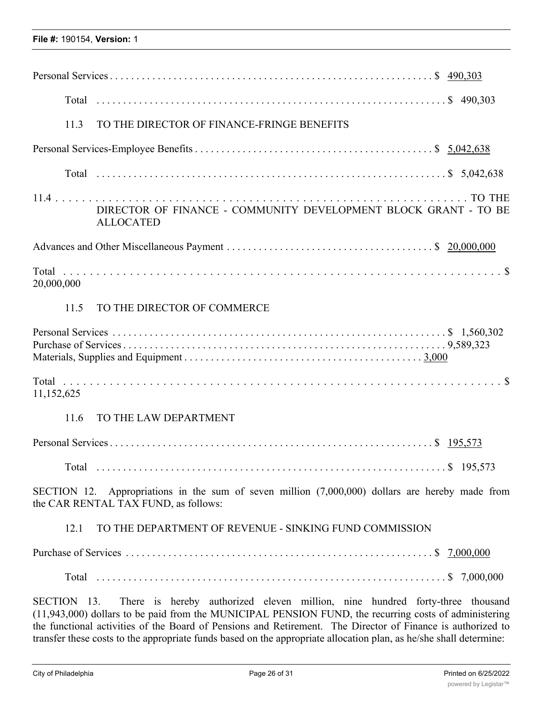| TO THE DIRECTOR OF FINANCE-FRINGE BENEFITS<br>11.3                                                                                                                                                                                                                                                                  |
|---------------------------------------------------------------------------------------------------------------------------------------------------------------------------------------------------------------------------------------------------------------------------------------------------------------------|
|                                                                                                                                                                                                                                                                                                                     |
|                                                                                                                                                                                                                                                                                                                     |
| DIRECTOR OF FINANCE - COMMUNITY DEVELOPMENT BLOCK GRANT - TO BE<br><b>ALLOCATED</b>                                                                                                                                                                                                                                 |
|                                                                                                                                                                                                                                                                                                                     |
| 20,000,000                                                                                                                                                                                                                                                                                                          |
| 11.5<br>TO THE DIRECTOR OF COMMERCE                                                                                                                                                                                                                                                                                 |
|                                                                                                                                                                                                                                                                                                                     |
| 11,152,625                                                                                                                                                                                                                                                                                                          |
| TO THE LAW DEPARTMENT<br>11.6                                                                                                                                                                                                                                                                                       |
|                                                                                                                                                                                                                                                                                                                     |
|                                                                                                                                                                                                                                                                                                                     |
| Appropriations in the sum of seven million $(7,000,000)$ dollars are hereby made from<br>SECTION 12.<br>the CAR RENTAL TAX FUND, as follows:                                                                                                                                                                        |
| TO THE DEPARTMENT OF REVENUE - SINKING FUND COMMISSION<br>12.1                                                                                                                                                                                                                                                      |
|                                                                                                                                                                                                                                                                                                                     |
|                                                                                                                                                                                                                                                                                                                     |
| There is hereby authorized eleven million, nine hundred forty-three thousand<br>SECTION 13.<br>(11,943,000) dollars to be paid from the MUNICIPAL PENSION FUND, the recurring costs of administering<br>the functional activities of the Board of Pensions and Retirement. The Director of Finance is authorized to |

transfer these costs to the appropriate funds based on the appropriate allocation plan, as he/she shall determine: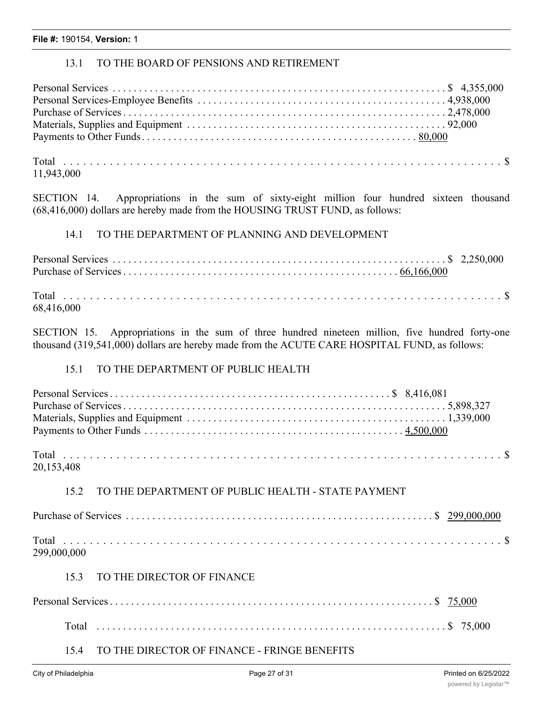# 13.1 TO THE BOARD OF PENSIONS AND RETIREMENT

11,943,000

SECTION 14. Appropriations in the sum of sixty-eight million four hundred sixteen thousand (68,416,000) dollars are hereby made from the HOUSING TRUST FUND, as follows:

# 14.1 TO THE DEPARTMENT OF PLANNING AND DEVELOPMENT

| 68,416,000 |  |
|------------|--|

SECTION 15. Appropriations in the sum of three hundred nineteen million, five hundred forty-one thousand (319,541,000) dollars are hereby made from the ACUTE CARE HOSPITAL FUND, as follows:

## 15.1 TO THE DEPARTMENT OF PUBLIC HEALTH

| 20,153,408 |  |
|------------|--|

# 15.2 TO THE DEPARTMENT OF PUBLIC HEALTH - STATE PAYMENT

| 299,000,000 |  |  |  |
|-------------|--|--|--|

### 15.3 TO THE DIRECTOR OF FINANCE

# 15.4 TO THE DIRECTOR OF FINANCE - FRINGE BENEFITS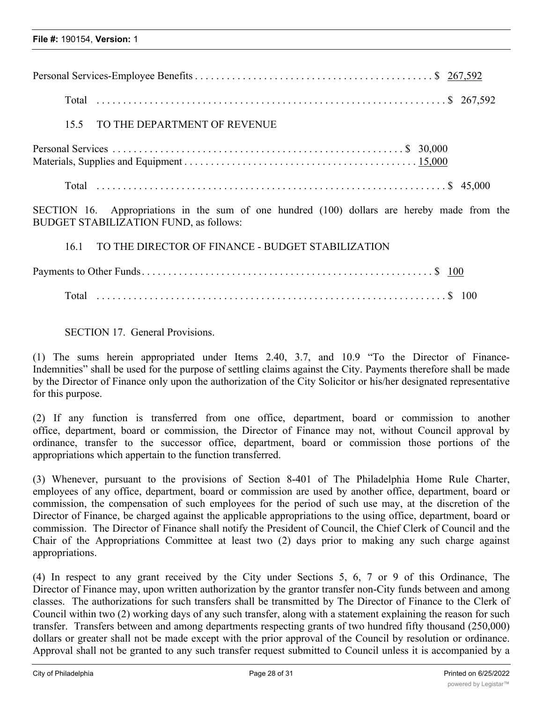| TO THE DEPARTMENT OF REVENUE<br>15.5                                                                                                            |
|-------------------------------------------------------------------------------------------------------------------------------------------------|
|                                                                                                                                                 |
|                                                                                                                                                 |
| Appropriations in the sum of one hundred (100) dollars are hereby made from the<br>SECTION 16.<br><b>BUDGET STABILIZATION FUND, as follows:</b> |
| TO THE DIRECTOR OF FINANCE - BUDGET STABILIZATION<br>16.1                                                                                       |
|                                                                                                                                                 |
|                                                                                                                                                 |
|                                                                                                                                                 |

SECTION 17. General Provisions.

(1) The sums herein appropriated under Items 2.40, 3.7, and 10.9 "To the Director of Finance-Indemnities" shall be used for the purpose of settling claims against the City. Payments therefore shall be made by the Director of Finance only upon the authorization of the City Solicitor or his/her designated representative for this purpose.

(2) If any function is transferred from one office, department, board or commission to another office, department, board or commission, the Director of Finance may not, without Council approval by ordinance, transfer to the successor office, department, board or commission those portions of the appropriations which appertain to the function transferred.

(3) Whenever, pursuant to the provisions of Section 8-401 of The Philadelphia Home Rule Charter, employees of any office, department, board or commission are used by another office, department, board or commission, the compensation of such employees for the period of such use may, at the discretion of the Director of Finance, be charged against the applicable appropriations to the using office, department, board or commission. The Director of Finance shall notify the President of Council, the Chief Clerk of Council and the Chair of the Appropriations Committee at least two (2) days prior to making any such charge against appropriations.

(4) In respect to any grant received by the City under Sections 5, 6, 7 or 9 of this Ordinance, The Director of Finance may, upon written authorization by the grantor transfer non-City funds between and among classes. The authorizations for such transfers shall be transmitted by The Director of Finance to the Clerk of Council within two (2) working days of any such transfer, along with a statement explaining the reason for such transfer. Transfers between and among departments respecting grants of two hundred fifty thousand (250,000) dollars or greater shall not be made except with the prior approval of the Council by resolution or ordinance. Approval shall not be granted to any such transfer request submitted to Council unless it is accompanied by a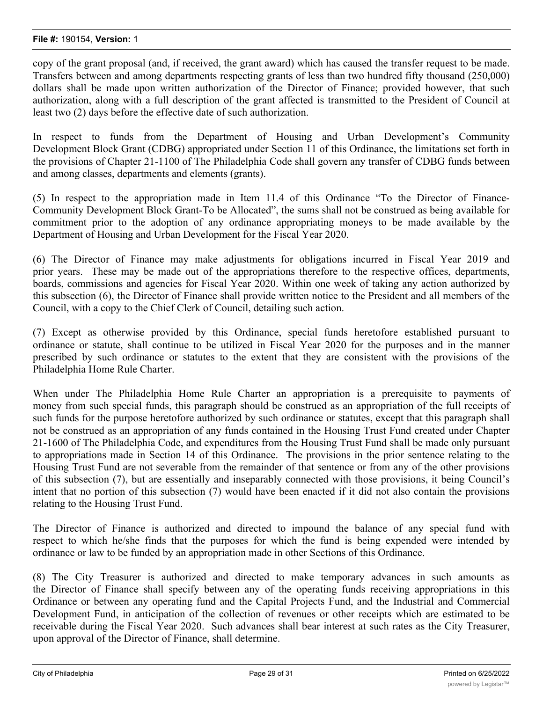copy of the grant proposal (and, if received, the grant award) which has caused the transfer request to be made. Transfers between and among departments respecting grants of less than two hundred fifty thousand (250,000) dollars shall be made upon written authorization of the Director of Finance; provided however, that such authorization, along with a full description of the grant affected is transmitted to the President of Council at least two (2) days before the effective date of such authorization.

In respect to funds from the Department of Housing and Urban Development's Community Development Block Grant (CDBG) appropriated under Section 11 of this Ordinance, the limitations set forth in the provisions of Chapter 21-1100 of The Philadelphia Code shall govern any transfer of CDBG funds between and among classes, departments and elements (grants).

(5) In respect to the appropriation made in Item 11.4 of this Ordinance "To the Director of Finance-Community Development Block Grant-To be Allocated", the sums shall not be construed as being available for commitment prior to the adoption of any ordinance appropriating moneys to be made available by the Department of Housing and Urban Development for the Fiscal Year 2020.

(6) The Director of Finance may make adjustments for obligations incurred in Fiscal Year 2019 and prior years. These may be made out of the appropriations therefore to the respective offices, departments, boards, commissions and agencies for Fiscal Year 2020. Within one week of taking any action authorized by this subsection (6), the Director of Finance shall provide written notice to the President and all members of the Council, with a copy to the Chief Clerk of Council, detailing such action.

(7) Except as otherwise provided by this Ordinance, special funds heretofore established pursuant to ordinance or statute, shall continue to be utilized in Fiscal Year 2020 for the purposes and in the manner prescribed by such ordinance or statutes to the extent that they are consistent with the provisions of the Philadelphia Home Rule Charter.

When under The Philadelphia Home Rule Charter an appropriation is a prerequisite to payments of money from such special funds, this paragraph should be construed as an appropriation of the full receipts of such funds for the purpose heretofore authorized by such ordinance or statutes, except that this paragraph shall not be construed as an appropriation of any funds contained in the Housing Trust Fund created under Chapter 21-1600 of The Philadelphia Code, and expenditures from the Housing Trust Fund shall be made only pursuant to appropriations made in Section 14 of this Ordinance. The provisions in the prior sentence relating to the Housing Trust Fund are not severable from the remainder of that sentence or from any of the other provisions of this subsection (7), but are essentially and inseparably connected with those provisions, it being Council's intent that no portion of this subsection (7) would have been enacted if it did not also contain the provisions relating to the Housing Trust Fund.

The Director of Finance is authorized and directed to impound the balance of any special fund with respect to which he/she finds that the purposes for which the fund is being expended were intended by ordinance or law to be funded by an appropriation made in other Sections of this Ordinance.

(8) The City Treasurer is authorized and directed to make temporary advances in such amounts as the Director of Finance shall specify between any of the operating funds receiving appropriations in this Ordinance or between any operating fund and the Capital Projects Fund, and the Industrial and Commercial Development Fund, in anticipation of the collection of revenues or other receipts which are estimated to be receivable during the Fiscal Year 2020. Such advances shall bear interest at such rates as the City Treasurer, upon approval of the Director of Finance, shall determine.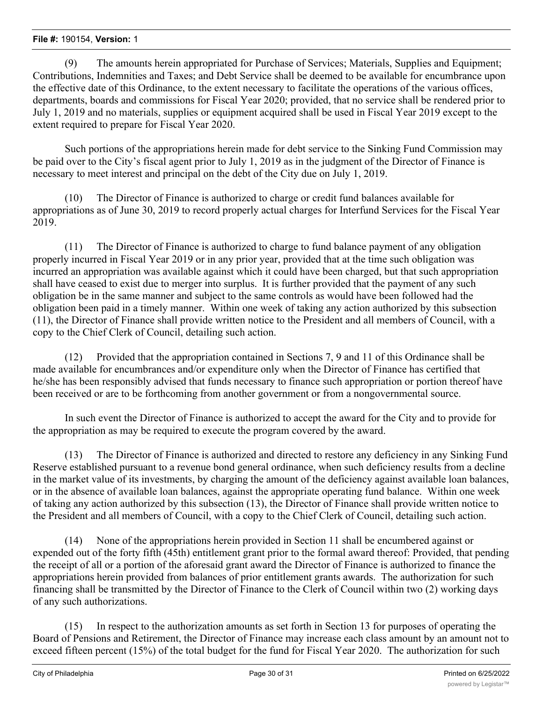(9) The amounts herein appropriated for Purchase of Services; Materials, Supplies and Equipment; Contributions, Indemnities and Taxes; and Debt Service shall be deemed to be available for encumbrance upon the effective date of this Ordinance, to the extent necessary to facilitate the operations of the various offices, departments, boards and commissions for Fiscal Year 2020; provided, that no service shall be rendered prior to July 1, 2019 and no materials, supplies or equipment acquired shall be used in Fiscal Year 2019 except to the extent required to prepare for Fiscal Year 2020.

Such portions of the appropriations herein made for debt service to the Sinking Fund Commission may be paid over to the City's fiscal agent prior to July 1, 2019 as in the judgment of the Director of Finance is necessary to meet interest and principal on the debt of the City due on July 1, 2019.

(10) The Director of Finance is authorized to charge or credit fund balances available for appropriations as of June 30, 2019 to record properly actual charges for Interfund Services for the Fiscal Year 2019.

(11) The Director of Finance is authorized to charge to fund balance payment of any obligation properly incurred in Fiscal Year 2019 or in any prior year, provided that at the time such obligation was incurred an appropriation was available against which it could have been charged, but that such appropriation shall have ceased to exist due to merger into surplus. It is further provided that the payment of any such obligation be in the same manner and subject to the same controls as would have been followed had the obligation been paid in a timely manner. Within one week of taking any action authorized by this subsection (11), the Director of Finance shall provide written notice to the President and all members of Council, with a copy to the Chief Clerk of Council, detailing such action.

(12) Provided that the appropriation contained in Sections 7, 9 and 11 of this Ordinance shall be made available for encumbrances and/or expenditure only when the Director of Finance has certified that he/she has been responsibly advised that funds necessary to finance such appropriation or portion thereof have been received or are to be forthcoming from another government or from a nongovernmental source.

In such event the Director of Finance is authorized to accept the award for the City and to provide for the appropriation as may be required to execute the program covered by the award.

(13) The Director of Finance is authorized and directed to restore any deficiency in any Sinking Fund Reserve established pursuant to a revenue bond general ordinance, when such deficiency results from a decline in the market value of its investments, by charging the amount of the deficiency against available loan balances, or in the absence of available loan balances, against the appropriate operating fund balance. Within one week of taking any action authorized by this subsection (13), the Director of Finance shall provide written notice to the President and all members of Council, with a copy to the Chief Clerk of Council, detailing such action.

(14) None of the appropriations herein provided in Section 11 shall be encumbered against or expended out of the forty fifth (45th) entitlement grant prior to the formal award thereof: Provided, that pending the receipt of all or a portion of the aforesaid grant award the Director of Finance is authorized to finance the appropriations herein provided from balances of prior entitlement grants awards. The authorization for such financing shall be transmitted by the Director of Finance to the Clerk of Council within two (2) working days of any such authorizations.

(15) In respect to the authorization amounts as set forth in Section 13 for purposes of operating the Board of Pensions and Retirement, the Director of Finance may increase each class amount by an amount not to exceed fifteen percent (15%) of the total budget for the fund for Fiscal Year 2020. The authorization for such